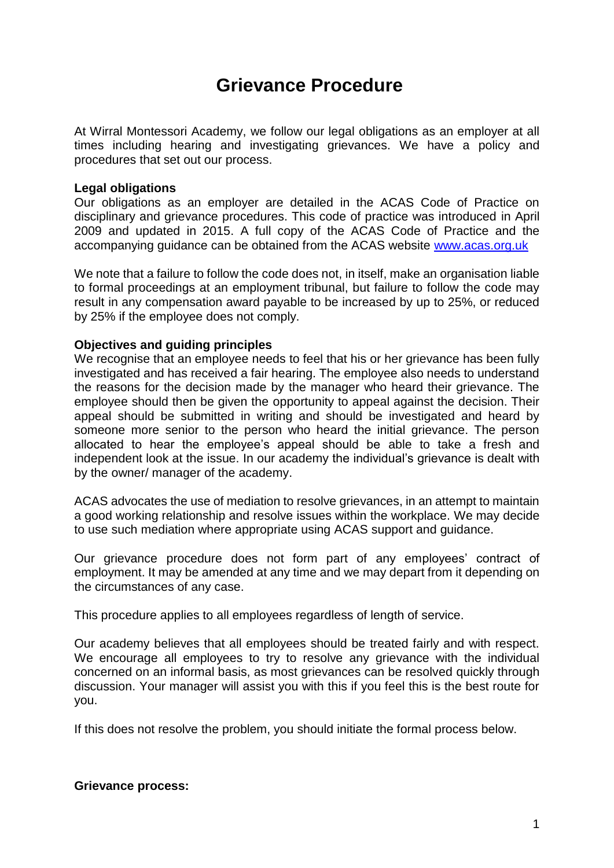# **Grievance Procedure**

At Wirral Montessori Academy, we follow our legal obligations as an employer at all times including hearing and investigating grievances. We have a policy and procedures that set out our process.

#### **Legal obligations**

Our obligations as an employer are detailed in the ACAS Code of Practice on disciplinary and grievance procedures. This code of practice was introduced in April 2009 and updated in 2015. A full copy of the ACAS Code of Practice and the accompanying guidance can be obtained from the ACAS website [www.acas.org.uk](http://www.acas.org.uk/)

We note that a failure to follow the code does not, in itself, make an organisation liable to formal proceedings at an employment tribunal, but failure to follow the code may result in any compensation award payable to be increased by up to 25%, or reduced by 25% if the employee does not comply.

#### **Objectives and guiding principles**

We recognise that an employee needs to feel that his or her grievance has been fully investigated and has received a fair hearing. The employee also needs to understand the reasons for the decision made by the manager who heard their grievance. The employee should then be given the opportunity to appeal against the decision. Their appeal should be submitted in writing and should be investigated and heard by someone more senior to the person who heard the initial grievance. The person allocated to hear the employee's appeal should be able to take a fresh and independent look at the issue. In our academy the individual's grievance is dealt with by the owner/ manager of the academy.

ACAS advocates the use of mediation to resolve grievances, in an attempt to maintain a good working relationship and resolve issues within the workplace. We may decide to use such mediation where appropriate using ACAS support and guidance.

Our grievance procedure does not form part of any employees' contract of employment. It may be amended at any time and we may depart from it depending on the circumstances of any case.

This procedure applies to all employees regardless of length of service.

Our academy believes that all employees should be treated fairly and with respect. We encourage all employees to try to resolve any grievance with the individual concerned on an informal basis, as most grievances can be resolved quickly through discussion. Your manager will assist you with this if you feel this is the best route for you.

If this does not resolve the problem, you should initiate the formal process below.

#### **Grievance process:**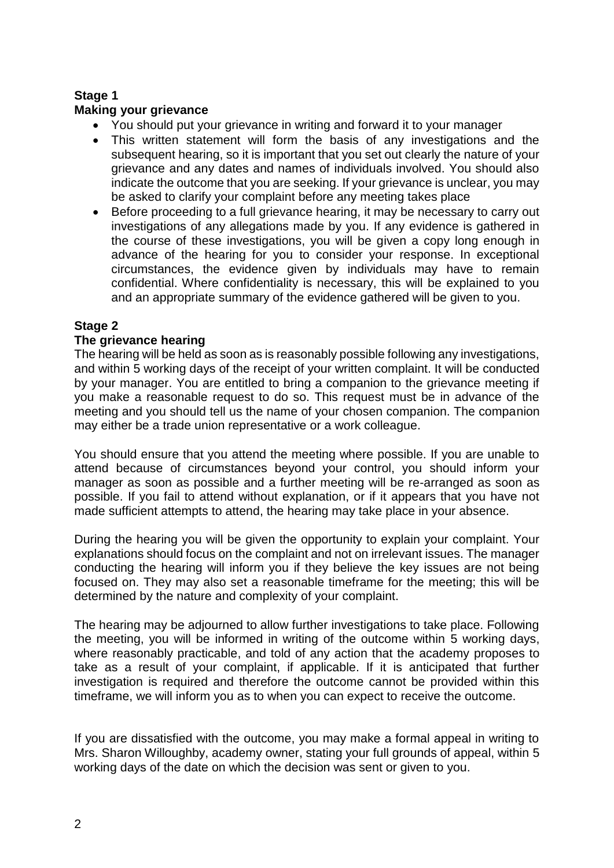# **Stage 1**

## **Making your grievance**

- You should put your grievance in writing and forward it to your manager
- This written statement will form the basis of any investigations and the subsequent hearing, so it is important that you set out clearly the nature of your grievance and any dates and names of individuals involved. You should also indicate the outcome that you are seeking. If your grievance is unclear, you may be asked to clarify your complaint before any meeting takes place
- Before proceeding to a full grievance hearing, it may be necessary to carry out investigations of any allegations made by you. If any evidence is gathered in the course of these investigations, you will be given a copy long enough in advance of the hearing for you to consider your response. In exceptional circumstances, the evidence given by individuals may have to remain confidential. Where confidentiality is necessary, this will be explained to you and an appropriate summary of the evidence gathered will be given to you.

# **Stage 2**

## **The grievance hearing**

The hearing will be held as soon as is reasonably possible following any investigations, and within 5 working days of the receipt of your written complaint. It will be conducted by your manager. You are entitled to bring a companion to the grievance meeting if you make a reasonable request to do so. This request must be in advance of the meeting and you should tell us the name of your chosen companion. The companion may either be a trade union representative or a work colleague.

You should ensure that you attend the meeting where possible. If you are unable to attend because of circumstances beyond your control, you should inform your manager as soon as possible and a further meeting will be re-arranged as soon as possible. If you fail to attend without explanation, or if it appears that you have not made sufficient attempts to attend, the hearing may take place in your absence.

During the hearing you will be given the opportunity to explain your complaint. Your explanations should focus on the complaint and not on irrelevant issues. The manager conducting the hearing will inform you if they believe the key issues are not being focused on. They may also set a reasonable timeframe for the meeting; this will be determined by the nature and complexity of your complaint.

The hearing may be adjourned to allow further investigations to take place. Following the meeting, you will be informed in writing of the outcome within 5 working days, where reasonably practicable, and told of any action that the academy proposes to take as a result of your complaint, if applicable. If it is anticipated that further investigation is required and therefore the outcome cannot be provided within this timeframe, we will inform you as to when you can expect to receive the outcome.

If you are dissatisfied with the outcome, you may make a formal appeal in writing to Mrs. Sharon Willoughby, academy owner, stating your full grounds of appeal, within 5 working days of the date on which the decision was sent or given to you.